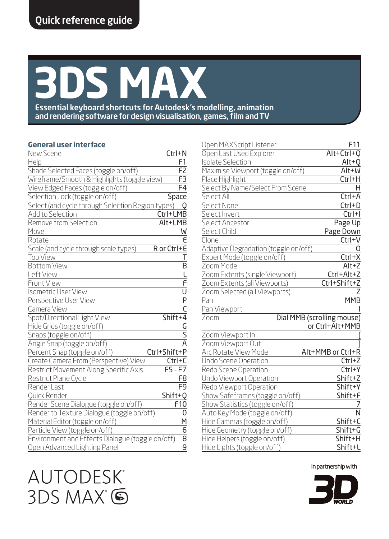# **3DS MAX**

Essential keyboard shortcuts for Autodesk's modelling, animation and rendering software for design visualisation, games, film and TV

#### **General user interface**

| New Scene                                         | Ctrl+N                |
|---------------------------------------------------|-----------------------|
| Help                                              | F1                    |
| Shade Selected Faces (toggle on/off)              | F <sub>2</sub>        |
| Wireframe/Smooth & Highlights (toggle view)       | F3                    |
| View Edged Faces (toggle on/off)                  | F4                    |
| Selection Lock (toggle on/off)                    | Space                 |
| Select (and cycle through Selection Region types) |                       |
| Add to Selection                                  | Ctrl+LMB              |
| Remove from Selection                             | Alt+LMB               |
| Move                                              | W                     |
| Rotate                                            | F                     |
| Scale (and cycle through scale types)             | R or Ctrl+E           |
| <b>Top View</b>                                   | Т                     |
| <b>Bottom View</b>                                | $\overline{B}$        |
| Left View                                         | τ                     |
| <b>Front View</b>                                 | F                     |
| <b>Isometric User View</b>                        | $\frac{U}{P}$         |
| Perspective User View                             |                       |
| Camera View                                       | $\overline{\epsilon}$ |
| Spot/Directional Light View                       | Shift+4               |
| Hide Grids (toggle on/off)                        | $\frac{G}{S}$         |
| Snaps (toggle on/off)                             |                       |
| Angle Snap (toggle on/off)                        | $\overline{A}$        |
| Percent Snap (toggle on/off)                      | Ctrl+Shift+P          |
| Create Camera From (Perspective) View             | Ctrl+C                |
| Restrict Movement Along Specific Axis             | $F5-F7$               |
| Restrict Plane Cycle                              | F <sub>8</sub>        |
| Render Last                                       | F <sub>9</sub>        |
| Ouick Render                                      | Shift+0               |
| Render Scene Dialogue (toggle on/off)             | F10                   |
| Render to Texture Dialogue (toggle on/off)        | 0                     |
| Material Editor (toggle on/off)                   | M                     |
| Particle View (toggle on/off)                     | $\overline{6}$        |
| Environment and Effects Dialogue (toggle on/off)  | 8                     |
| Open Advanced Lighting Panel                      | $\overline{9}$        |

| Open MAXScript Listener                                     | F11                        |
|-------------------------------------------------------------|----------------------------|
| Open Last Used Explorer                                     | Alt+Ctrl+O                 |
| <b>Isolate Selection</b>                                    | Alt+0                      |
| Maximise Viewport (toggle on/off)                           | Alt+W                      |
| Place Highlight                                             | Ctrl+H                     |
| Select By Name/Select From Scene                            | н                          |
| Select All                                                  | Ctrl+A                     |
| Select None                                                 | $Ctrl + D$                 |
| Select Invert                                               | $Ctrl + I$                 |
| Select Ancestor                                             | Page Up                    |
| Select Child                                                | Page Down                  |
| Clone                                                       | $Ctrl + V$                 |
| Adaptive Degradation (toggle on/off)                        |                            |
| Expert Mode (toggle on/off)                                 | Ctrl+X                     |
| Zoom Mode                                                   | $Alt+Z$                    |
| Zoom Extents (single Viewport)                              | Ctrl+Alt+Z                 |
| Zoom Extents (all Viewports)                                | Ctrl+Shift+Z               |
| Zoom Selected (all Viewports)                               |                            |
| Pan                                                         | <b>MMB</b>                 |
| Pan Viewport                                                |                            |
| Zoom                                                        | Dial MMB (scrolling mouse) |
|                                                             | or Ctrl+Alt+MMB            |
| Zoom Viewport In                                            |                            |
| Zoom Viewport Out                                           |                            |
| Arc Rotate View Mode                                        | Alt+MMB or Ctrl+R          |
| Undo Scene Operation                                        | Ctrl+Z                     |
| Redo Scene Operation                                        | Ctrl+Y                     |
| Undo Viewport Operation                                     | Shift+Z                    |
| Redo Viewport Operation                                     | Shift+Y                    |
| Show Safeframes (toggle on/off)                             | Shift+F                    |
| Show Statistics (toggle on/off)                             |                            |
| Auto Key Mode (toggle on/off)                               | N                          |
| Hide Cameras (toggle on/off)                                | Shift+C                    |
| Hide Geometry (toggle on/off)                               | Shift+G                    |
| Hide Helpers (toggle on/off)<br>Hide Lights (toggle on/off) | Shift+H<br>Shift+L         |
|                                                             |                            |

In partnership with



# **AUTODESK** 3DS MAX 6